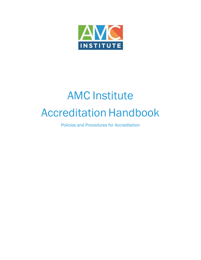

# AMC Institute **Accreditation Handbook**

Policies and Procedures for Accreditation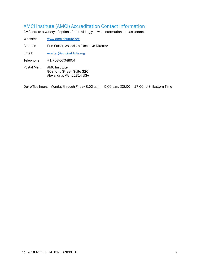# AMCI Institute (AMCI) Accreditation Contact Information

AMCI offers a variety of options for providing you with information and assistance.

Website: [www.amcinstitute.org](http://www.amcinstitute.org/) Contact: Erin Carter, Associate Executive Director Email: [ecarter@amcinstitute.org](mailto:ecarter@amcinstitute.org) Telephone: +1 703-570-8954 Postal Mail: AMC Institute 908 King Street, Suite 320 Alexandria, VA 22314 USA

Our office hours: Monday through Friday 8:00 a.m. – 5:00 p.m. (08:00 – 17:00) U.S. Eastern Time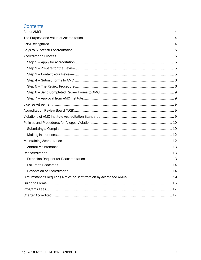# Contents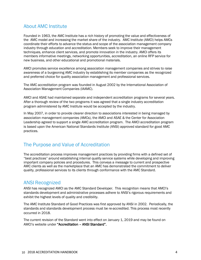# About AMC Institute

Founded in 1963, the AMC Institute has a rich history of promoting the value and effectiveness of the AMC model and increasing the market share of the industry. AMC Institute (AMCI) helps AMCs coordinate their efforts to advance the status and scope of the association management company industry through education and accreditation. Members seek to improve their management techniques, enhance client services, and promote innovation in the industry. AMCI offers its members informative meetings, networking opportunities, accreditation, an online RFP service for new business, and other educational and promotional materials.

AMCI promotes service excellence among association management companies and strives to raise awareness of a burgeoning AMC industry by establishing its member companies as the recognized and preferred choice for quality association management and professional services.

The AMC accreditation program was founded in August 2002 by the International Association of Association Management Companies (IAAMC).

AMCI and ASAE had maintained separate and independent accreditation programs for several years. After a thorough review of the two programs it was agreed that a single industry accreditation program administered by AMC Institute would be accepted by the industry.

In May 2007, in order to provide clearer direction to associations interested in being managed by association management companies (AMCs), the AMCI and ASAE & the Center for Association Leadership agreed to support a single AMC accreditation program. The AMCI accreditation program is based upon the American National Standards Institute (ANSI) approved standard for good AMC practices.

# <span id="page-3-0"></span>The Purpose and Value of Accreditation

The accreditation process improves management practices by providing firms with a defined set of "best practices" around establishing internal quality service systems while developing and improving important company policies and procedures. This conveys a message to current and prospective AMC clients as well as the marketplace that an AMC has demonstrated the commitment to deliver quality, professional services to its clients through conformance with the AMC Standard.

# <span id="page-3-1"></span>ANSI Recognized

ANSI has recognized AMCI as the AMC Standard Developer. This recognition means that AMCI's standards development and administrative processes adhere to ANSI's rigorous requirements and exhibit the highest levels of quality and credibility.

The AMC Institute Standard of Good Practices was first approved by ANSI in 2002. Periodically, the standards and standards development process must be re-accredited. This process most recently occurred in 2018.

The current revision of the Standard went into effect on January 1, 2019 and may be found on AMCI's website under "Accreditation – ANSI Standard".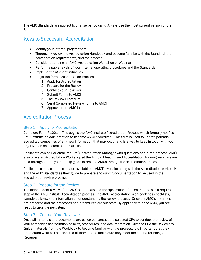The AMC Standards are subject to change periodically. Always use the most current version of the Standard.

# <span id="page-4-0"></span>Keys to Successful Accreditation

- Identify your internal project team
- Thoroughly review the Accreditation Handbook and become familiar with the Standard, the accreditation requirements, and the process
- Consider attending an AMCI Accreditation Workshop or Webinar
- Perform a gap analysis of your internal operating procedures and the Standards
- Implement alignment initiatives
- Begin the formal Accreditation Process
	- 1. Apply for Accreditation
	- 2. Prepare for the Review
	- 3. Contact Your Reviewer
	- 4. Submit Forms to AMCI
	- 5. The Review Procedure
	- 6. Send Completed Review Forms to AMCI
	- 7. Approval from AMC Institute

# <span id="page-4-1"></span>Accreditation Process

## <span id="page-4-2"></span>Step 1 – Apply for Accreditation

Complete Form #1001 – This begins the AMC Institute Accreditation Process which formally notifies AMC Institute of your intention to become AMCI Accredited. This form is used to update potential accredited companies of any new information that may occur and is a way to keep in touch with your organization on accreditation matters.

Applicants can call or email the AMCI Accreditation Manager with questions about the process. AMCI also offers an Accreditation Workshop at the Annual Meeting, and Accreditation Training webinars are held throughout the year to help guide interested AMCs through the accreditation process.

Applicants can use samples made available on AMCI's website along with the Accreditation workbook and the AMC Standard as their guide to prepare and submit documentation to be used in the accreditation review process.

## <span id="page-4-3"></span>Step 2 - Prepare for the Review

The independent review of the AMC's materials and the application of those materials is a required step of the AMC Institute Accreditation process. The AMCI Accreditation Workbook has checklists, sample policies, and information on understanding the review process. Once the AMC's materials are prepared and the processes and procedures are successfully applied within the AMC, you are ready to take the next step.

## <span id="page-4-4"></span>Step 3 – Contact Your Reviewer

Once all materials and documents are collected, contact the selected CPA to conduct the review of your company's accreditation policies, procedures, and documentation. Give the CPA the Reviewer's Guide materials from the Workbook to become familiar with the process. It is important that they understand what will be expected of them and to make sure they meet the criteria for being a Reviewer.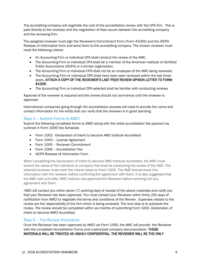The accrediting company will negotiate the cost of the accreditation review with the CPA firm. This is paid directly to the reviewer and the negotiation of fees occurs between the accrediting company and the reviewing firm.

The assigned reviewer must sign the Reviewer's Commitment Form (Form #1005) and the AICPA Release of Information form and send them to the accrediting company. The chosen reviewer must meet the following criteria:

- An Accounting Firm or individual CPA shall conduct the review of the AMC.
- The Accounting Firm or individual CPA shall be a member of the American Institute of Certified Public Accountants (AICPA) or a similar organization.
- The Accounting Firm or individual CPA shall not be an employee of the AMC being reviewed.
- The Accounting Firm or individual CPA shall have been peer reviewed within the last three years. ATTACH A COPY OF THE REVIEWER'S LAST PEER REVIEW OPINON LETTER TO FORM #1005.
- The Accounting Firm or individual CPA selected shall be familiar with conducting reviews.

Approval of the reviewer is required and the review should not commence until the reviewer is approved.

International companies going through the accreditation process will need to provide the name and contact information for the entity that can verify that the reviewer is in good standing.

## <span id="page-5-0"></span>Step 4 – Submit Forms to AMCI

Submit the following completed forms to AMCI along with the initial accreditation fee payment as outlined in Form 1006 Fee Schedule.

- Form 1002 Declaration of Intent to become AMC Institute Accredited
- Form 1003 License Agreement
- Form 1005 Reviewer Commitment
- Form 1006 Accreditation Fee
- AICPA Release of Information Form

When completing the Declaration of Intent to become AMC Institute Accredited, the AMC must submit the name of the individual or company that shall be conducting the review of the AMC. The selected reviewer must meet the criteria listed on Form 1005. The AMC should share this information with the reviewer before confirming the agreement with them. It is also suggested that the AMC wait until after AMC Institute has approved the Reviewer before entering into any agreement with them.

AMCI will contact you within seven (7) working days of receipt of the above materials and notify you that your Reviewer has been approved. You must contact your Reviewer within thirty (30) days of notification from AMCI to negotiate the terms and conditions of the Review. Expenses related to the review are the responsibility of the firm which is being reviewed. The next step is to schedule the review. The review should be completed within six months of submitting Form 1002- Declaration of Intent to become AMCI Accredited.

## <span id="page-5-1"></span>Step 5 – The Review Procedure

Once the Reviewer has been approved by AMCI via Form 1005, the AMC will provide the Reviewer with the completed Accreditation Forms and customized company documentation. THESE MATERIALS WILL BE TREATED AS HIGHLY CONFIDENTIAL. THE REVIEWER WILL BE THE ONLY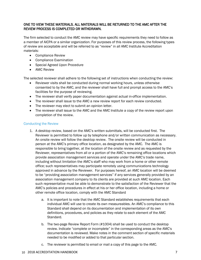## ONE TO VIEW THESE MATERIALS. ALL MATERIALS WILL BE RETURNED TO THE AMC AFTER THE REVIEW PROCESS IS COMPLETED OR WITHDRAWN.

The firm selected to conduct the AMC review may have specific requirements they need to follow as a member of AICPA or a similar organization. For purposes of this review process, the following types of review are acceptable and will be referred to as "review" in all AMC Institute Accreditation materials:

- Compliance Review
- Compliance Examination
- Special Agreed Upon Procedure
- AMC Review

The selected reviewer shall adhere to the following set of instructions when conducting the review:

- Reviewer visits shall be conducted during normal working hours, unless otherwise consented to by the AMC, and the reviewer shall have full and prompt access to the AMC's facilities for the purpose of reviewing.
- The reviewer shall verify paper documentation against actual in-office implementation.
- The reviewer shall issue to the AMC a new review report for each review conducted.
- The reviewer may elect to submit an opinion letter.
- The reviewer shall issue to the AMC and the AMC Institute a copy of the review report upon completion of the review.

#### Conducting the Review

- 1. A desktop review, based on the AMC's written submittals, will be conducted first. The Reviewer is permitted to follow up by telephone and/or written communication as necessary. An onsite review will follow the desktop review. The onsite review will be conducted in person at the AMC's primary office location, as designated by the AMC. The AMC is responsible to bring together, at the location of the onsite review and as requested by the Reviewer, representatives from all or a portion of the AMC's remaining office locations which provide association management services and operate under the AMC's trade name, including without limitation the AMC's staff who may work from a home or other remote office; such representatives may participate remotely using communications technology approved in advance by the Reviewer. For purposes hereof, an AMC location will be deemed to be "providing association management services" if any services generally provided by an association management company to its clients are provided at such AMC location. Each such representative must be able to demonstrate to the satisfaction of the Reviewer that the AMC's policies and procedures in effect at his or her office location, including a home or other remote office location, comply with the AMC Standard
	- a. It is important to note that the AMC Standard establishes requirements that each individual AMC will use to create its own measureables. An AMC's compliance to this Standard shall depend on its documentation and implementation of its own definitions, procedures, and policies as they relate to each element of the AMC Standard.
	- b. The two-page Review Report Form (#1004) shall be used to conduct the desktop review. Indicate "complete or incomplete" in the corresponding areas as the AMC's documentation is reviewed. Make notes in the comment section of specific materials needed to be modified or added to that particular section.
	- c. The reviewer is permitted to email or mail a copy of this page to the AMC.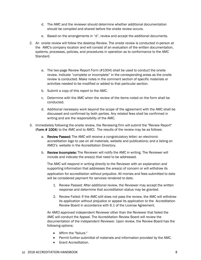- d. The AMC and the reviewer should determine whether additional documentation should be compiled and shared before the onsite review occurs.
- e. Based on the arrangements in "d", review and accept the additional documents.
- 2. An onsite review will follow the desktop Review. The onsite review is conducted in-person at the AMC's company location and will consist of an evaluation of the written documentation, systems, processes, policies, and procedures in operation as to conformance to the AMC Standard.
	- a. The two-page Review Report Form (#1004) shall be used to conduct the onsite review. Indicate "complete or incomplete" in the corresponding areas as the onsite review is conducted. Make notes in the comment section of specific materials or activities needed to be modified or added to that particular section.
	- b. Submit a copy of this report to the AMC.
	- c. Determine with the AMC when the review of the items noted on the form shall be conducted.
	- d. Additional necessary work beyond the scope of the agreement with the AMC shall be discussed and confirmed by both parties. Any related fees shall be confirmed in writing and are the responsibility of the AMC.
- 3. Immediately following the onsite review, the Reviewing firm will submit the "Review Report" (Form # 1004) to the AMC and to AMCI. The results of the review may be as follows:
	- a. Review Passed: The AMC will receive a congratulatory letter; an electronic accreditation logo to use on all materials, website and publications; and a listing on AMCI's website in the Accreditation Directory.
	- b. Review Incomplete: The Reviewer will notify the AMC in writing. The Reviewer will include and indicate the area(s) that need to be addressed.

The AMC will respond in writing directly to the Reviewer with an explanation and supporting information that addresses the area(s) of concern or will withdraw its application for accreditation without prejudice. All monies and fees submitted to date will be considered payment for services rendered to date.

- 1. Review Passed: After additional review, the Reviewer may accept the written response and determine that accreditation status may be granted.
- 2. Review Failed: If the AMC still does not pass the review, the AMC will withdraw its application without prejudice or appeal its application to the Accreditation Review Board in accordance with 6.1 of the License Agreement.

An AMCI approved independent Reviewer other than the Reviewer that failed the AMC will conduct the Appeal. The Accreditation Review Board will review the documentation of the independent Reviewer. Upon review, the Review Board has the following options:

- Affirm the "failure."
- Permit further submittal of materials and information provided by the AMC.
- Grant Accreditation.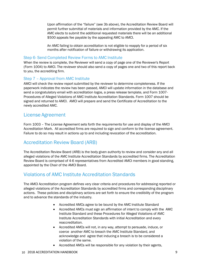Upon affirmation of the "failure" (see 3b above), the Accreditation Review Board will permit further submittal of materials and information provided by the AMC. If the AMC elects to submit the additional requested materials there will be an additional \$500 appeals fee payable by the appealing AMC to AMCI.

An AMC failing to obtain accreditation is not eligible to reapply for a period of six months after notification of failure or withdrawing its application.

## Step 6- Send Completed Review Forms to AMC Institute

When the review is complete, the Reviewer will send a copy of page one of the Reviewer's Report (Form 1004) to AMCI. The reviewer should also send a copy of pages one and two of this report back to you, the accrediting firm.

## <span id="page-8-0"></span>Step 7 – Approval from AMC Institute

AMCI will check the review report submitted by the reviewer to determine completeness. If the paperwork indicates the review has been passed, AMCI will update information in the database and send a congratulatory email with accreditation logos, a press release template, and Form 1007- Procedures of Alleged Violations of AMC Institute Accreditation Standards. Form 1007 should be signed and returned to AMCI. AMCI will prepare and send the Certificate of Accreditation to the newly accredited AMC.

# <span id="page-8-1"></span>License Agreement

Form 1003 – The License Agreement sets forth the requirements for use and display of the AMCI Accreditation Mark. All accredited firms are required to sign and conform to the license agreement. Failure to do so may result in actions up to and including revocation of the accreditation.

# <span id="page-8-2"></span>Accreditation Review Board (ARB)

The Accreditation Review Board (ARB) is the body given authority to review and consider any and all alleged violations of the AMC Institute Accreditation Standards by accredited firms. The Accreditation Review Board is comprised of 4-6 representatives from Accredited AMCI members in good standing, appointed by the Chair of the AMCI Board.

# <span id="page-8-3"></span>Violations of AMC Institute Accreditation Standards

The AMCI Accreditation program defines very clear criteria and procedures for addressing reported or alleged violations of the Accreditation Standards by accredited firms and corresponding disciplinary actions. These policies and disciplinary actions are set forth to ensure the credibility of the program and to advance the standards of the industry.

- Accredited AMCs agree to be bound by the AMC Institute Standard
- Accredited AMCs must sign an affirmation of intent to comply with the AMC Institute Standard and these Procedures for Alleged Violations of AMC Institute Accreditation Standards with initial Accreditation and every reaccreditation.
- Accredited AMCs will not, in any way, attempt to persuade, induce, or coerce another AMC to breach the AMC Institute Standard, and acknowledge and agree that inducing a breach is to be considered a violation of the same.
- Accredited AMCs will be responsible for any violation by their agents,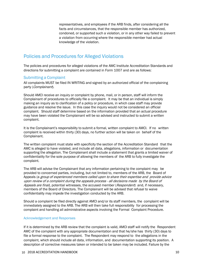representatives, and employees if the ARB finds, after considering all the facts and circumstances, that the responsible member has authorized, condoned, or supported such a violation, or in any other way failed to prevent a violation from occurring where the responsible member had actual knowledge of the violation.

# <span id="page-9-0"></span>Policies and Procedures for Alleged Violations

The policies and procedures for alleged violations of the AMC Institute Accreditation Standards and directions for submitting a complaint are contained in Form 1007 and are as follows:

## <span id="page-9-1"></span>Submitting a Complaint

All complaints MUST be filed IN WRITING and signed by an authorized official of the complaining party (*Complainant*).

Should AMCI receive an inquiry or complaint by phone, mail, or in person, staff will inform the Complainant of procedures to officially file a complaint. It may be that an individual is simply making an inquiry as to clarification of a policy or procedure, in which case staff may provide guidance and resolve the issue. In this case the inquiry would not be considered an official complaint. Should staff determine based on the information provided that an actual procedure may have been violated the Complainant will be so advised and instructed to submit a written complaint.

It is the Complainant's responsibility to submit a formal, written complaint to AMCI. If no written complaint is received within thirty (30) days, no further action will be taken on behalf of the Complainant.

The written complaint must state with specificity the section of the Accreditation Standard that the AMC is alleged to have violated, and include all data, allegations, information or documentation supporting the allegation. The Complainant shall include a statement that grants a limited waiver of confidentiality for the sole purpose of allowing the members of the ARB to fully investigate the complaint.

The ARB will advise the Complainant that any information pertaining to the complaint may be provided to concerned parties, including, but not limited to, members of the ARB, the Board of Appeals (a group of experienced members called upon to share their expertise and provide advice upon review of <sup>a</sup> complaint during the appeals process - all decisions made by the Board of Appeals are final, potential witnesses, the accused member (Respondent) and, if necessary, members of the Board of Directors. The Complainant will be advised that refusal to waive confidentiality may impede the investigation conducted by the ARB.

Should a complaint be filed directly against AMCI and/or its staff members, the complaint will be immediately assigned to the ARB. The ARB will then take full responsibility for processing the complaint and handling all administrative aspects involving the Formal Complaint Procedure.

#### Acknowledgement and Responses

If it is determined by the ARB review that the complaint is valid, AMCI staff will notify the Respondent AMC of the complaint with any appropriate documentation and that he/she has thirty (30) days to file a formal response to the complaint. The Respondent may respond to the allegations in the complaint, which should include all data, information, and documentation supporting its position. A description of corrective measures taken or intended to be taken may be included. Failure by the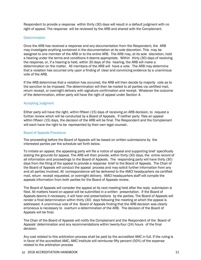Respondent to provide a response within thirty (30) days will result in a default judgment with no right of appeal. The response will be reviewed by the ARB and shared with the Complainant.

#### **Determination**

Once the ARB has received a response and any documentation from the Respondent, the ARB may investigate anything contained in the documentation at its sole discretion. This may be assigned to one member of the ARB or to the entire ARB. The ARB may, at its sole discretion, hold a hearing under the terms and conditions it deems appropriate. Within thirty (30) days of receiving the response, or, if a hearing is held, within 30 days of the hearing, the ARB will make a determination on the matter. All members of the ARB will have a vote. The ARB may determine that a violation has occurred only upon a finding of clear and convincing evidence by a unanimous vote of the ARB.

If the ARB determines that a violation has occurred, the ARB will then decide by majority vote as to the sanction to be imposed. The determination will then be mailed to all parties via certified mail, return receipt, or overnight delivery with signature confirmation and receipt. Whatever the outcome of the determination, either party will have the right of appeal under Section 4.

#### Accepting Judgment

Either party will have the right, within fifteen (15) days of receiving an ARB decision, to request a further review which will be conducted by a Board of Appeals. If neither party files an appeal within fifteen (15) days, the decision of the ARB will be final. The Respondent and the Complainant will each have the right to be represented by their own legal counsel.

#### Board of Appeals Procedure

The proceeding before the Board of Appeals will be based on written submissions by the interested parties per the schedule set forth below.

To initiate an appeal, the appealing party will file a notice of appeal and supporting brief specifically stating the grounds for appeal. The ARB will then provide, within thirty (30) days, the entire record of all information and proceedings to the Board of Appeals. The responding party will have thirty (30) days from the filing of the appeal to provide a response brief to the Board of Appeals. The Chair of the Board of Appeals will conduct the appeal process and may solicit further information from any and all parties involved. All correspondence will be delivered to the AMCI headquarters via certified mail, return receipt requested, or overnight delivery. AMCI headquarters staff will compile the appeals information from both parties for the Board of Appeals review.

The Board of Appeals will consider the appeal at its next meeting held after the reply submission is filed. All matters heard on appeal will be submitted in a written presentation. If the Board of Appeals deems it necessary, it will hear oral presentations by the parties. The Board of Appeals will render a final determination within thirty (30) days following the meeting at which the appeal is addressed. A unanimous vote of the Board of Appeals finding that the ARB decision was clearly erroneous is necessary to overturn a determination of the ARB. The decision of the Board of Appeals will be final.

The Chair of the Board of Appeals will notify the Complainant and the Respondent of the Board of Appeals' determination and any recommendations within twenty-four (24) hours of the final decision.

Any cost related to this arbitration process shall be paid by the accredited AMC in full. If the ruling is in favor of the accredited AMC, AMC Institute will reimburse fifty percent (50%) of the expense related to the arbitration process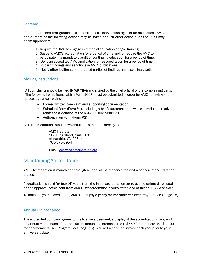#### **Sanctions**

If it is determined that grounds exist to take disciplinary action against an accredited AMC, one or more of the following actions may be taken or such other action(s) as the ARB may deem appropriate:

- 1. Require the AMC to engage in remedial education and/or training;
- 2. Suspend AMC's accreditation for a period of time and/or require the AMC to participate in a mandatory audit of continuing education for a period of time;
- 3. Deny an accredited AMC application for reaccreditation for a period of time;
- 4. Publish findings and sanctions in AMCI publications;
- 5. Notify other legitimately interested parties of findings and disciplinary action.

## <span id="page-11-0"></span>Mailing Instructions

All complaints should be filed IN WRITING and signed by the chief official of the complaining party. The following items, found within Form 1007, must be submitted in order for AMCI to review and process your complaint:

- Formal, written complaint and supporting documentation
- Submittal Form (Form #1), including a brief statement on how this complaint directly relates to a violation of the AMC Institute Standard
- Authorization Form (Form #2)

All documentation listed above should be submitted directly to:

AMC Institute 908 King Street, Suite 320 Alexandria, VA 22314 703-570-8954

Email: [ecarter@amcinstitute.org](mailto:ecarter@amcinstitute.org)

## <span id="page-11-1"></span>Maintaining Accreditation

AMCI Accreditation is maintained through an annual maintenance fee and a periodic reaccreditation process.

Accreditation is valid for four (4) years from the initial accreditation (or re-accreditation) date listed on the approval notice sent from AMCI. Reaccreditation occurs at the end of this four (4) year cycle.

<span id="page-11-2"></span>To maintain your accreditation, AMCs must pay a yearly maintenance fee (see Program Fees, page 15).

## Annual Maintenance

The accredited company agrees to the license agreement, a display of the accreditation mark, and an annual maintenance fee. The current annual maintenance fee is \$550 for members and \$1,100 for non-members (see Program Fees, page 15). You will receive an invoice each year prior to your anniversary date.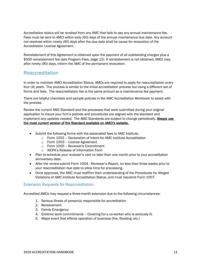Accreditation status will be revoked from any AMC that fails to pay any annual maintenance fee. Fees must be sent to AMCI within sixty (60) days of the annual maintenance due date. Any account not resolved within ninety (90) days after the due date shall be cause for revocation of the Accreditation License Agreement.

Reinstatement of this Agreement is obtained upon the payment of all outstanding charges plus a \$500 reinstatement fee (see Program Fees, page 15). If reinstatement is not obtained, AMCI may, after ninety (90) days, inform the AMC of the permanent revocation.

# <span id="page-12-0"></span>Reaccreditation

In order to maintain AMCI Accreditation Status, AMCs are required to apply for reaccreditation every four (4) years. The process is similar to the initial accreditation process but using a different set of forms and fees. The reaccreditation fee is the same amount as a maintenance fee payment.

There are helpful checklists and sample policies in the AMC Accreditation Workbook to assist with the process.

Review the current AMC Standard and the processes that were submitted during your original application to insure your firm's policies and procedures are aligned with the standard and implement any updates needed. The AMC Standards are subject to change periodically. Always use the most current version of the Standard available on AMCI's website.

- Submit the following forms with the associated fees to AMC Institute.
	- o Form 1002 Declaration of Intent for AMC Institute Accreditation
	- o Form 1003 License Agreement
	- o Form 1005 -- Reviewer's Commitment
	- o AICPA's Release of Information Form
- Plan to schedule your reviewer's visit no later than one month prior to your accreditation anniversary date.
- After the review submit Form 1004 Reviewer's Report, no less than three weeks prior to your reaccreditation due date to allow time for processing.
- Once approved, the AMC must reaffirm their understanding of the Procedures for Alleged Violations of AMC Institute Accreditation Status, and must resubmit Form 1007.

## Extension Requests for Reaccreditation

Accredited AMCs may request a three-month extension due to the following circumstances:

- 1. Serious Illness of person(s) responsible for accreditation
- 2. Bereavement
- 3. Family Emergency
- 4. Extreme work commitments Covering for a co-worker who is seriously ill.
- 5. Major event that effects operation of business (fire, flooding, etc.)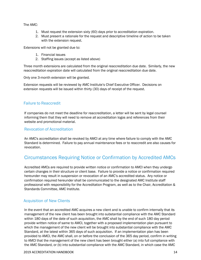The AMC:

- 1. Must request the extension sixty (60) days prior to accreditation expiration.
- 2. Must present a rationale for the request and descriptive timeline of action to be taken with the extension request.

Extensions will not be granted due to:

- 1. Financial issues
- 2. Staffing issues (accept as listed above)

Three month extensions are calculated from the original reaccreditation due date. Similarly, the new reaccreditation expiration date will calculated from the original reaccreditation due date.

Only one 3-month extension will be granted.

Extension requests will be reviewed by AMC Institute's Chief Executive Officer. Decisions on extension requests will be issued within thirty (30) days of receipt of the request.

## <span id="page-13-0"></span>Failure to Reaccredit

If companies do not meet the deadline for reaccreditation, a letter will be sent by legal counsel informing them that they will need to remove all accreditation logos and references from their website and promotional material.

## <span id="page-13-1"></span>Revocation of Accreditation

An AMC's accreditation shall be revoked by AMCI at any time where failure to comply with the AMC Standard is determined. Failure to pay annual maintenance fees or to reaccredit are also causes for revocation.

# <span id="page-13-2"></span>Circumstances Requiring Notice or Confirmation by Accredited AMCs

Accredited AMCs are required to provide written notice or confirmation to AMCI when they undergo certain changes in their structure or client base. Failure to provide a notice or confirmation required hereunder may result in suspension or revocation of an AMC's accredited status. Any notice or confirmation required hereunder shall be communicated to the designated AMC Institute staff professional with responsibility for the Accreditation Program, as well as to the Chair, Accreditation & Standards Committee, AMC Institute.

## Acquisition of New Clients

In the event that an accredited AMC acquires a new client and is unable to confirm internally that its management of the new client has been brought into substantial compliance with the AMC Standard within 180 days of the date of such acquisition, the AMC shall by the end of such 180 day period provide written notice of same to AMCI, together with a proposed implementation plan pursuant to which the management of the new client will be brought into substantial compliance with the AMC Standard, at the latest within 365 days of such acquisition. If an implementation plan has been provided to AMCI, the AMC shall, on or before the conclusion of the 365 day period, confirm in writing to AMCI that the management of the new client has been brought either (a) into full compliance with the AMC Standard, or (b) into substantial compliance with the AMC Standard, in which case the AMC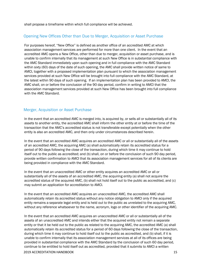shall propose a timeframe within which full compliance will be achieved.

## Opening New Offices Other than Due to Merger, Acquisition or Asset Purchase

For purposes hereof, "New Office" is defined as another office of an accredited AMC at which association management services are performed for more than one client. In the event that an accredited AMC opens a New Office, other than due to merger, acquisition or asset purchase, and is unable to confirm internally that its management at such New Office is in substantial compliance with the AMC Standard immediately upon such opening and in full compliance with the AMC Standard within sixty (60) days of the date of such opening, the AMC shall provide written notice of same to AMCI, together with a proposed implementation plan pursuant to which the association management services provided at such New Office will be brought into full compliance with the AMC Standard, at the latest within 90 days of such opening. If an implementation plan has been provided to AMCI, the AMC shall, on or before the conclusion of the 90 day period, confirm in writing to AMCI that the association management services provided at such New Office has been brought into full compliance with the AMC Standard.

## Merger, Acquisition or Asset Purchase

In the event that an accredited AMC is merged into, is acquired by, or sells all or substantially all of its assets to another entity, the accredited AMC shall inform the other entity at or before the time of the transaction that the AMC's accredited status is not transferable except potentially when the other entity is also an accredited AMC, and then only under circumstances described herein.

In the event that an accredited AMC acquires an accredited AMC or all or substantially all of the assets of an accredited AMC, the acquiring AMC (a) shall automatically retain its accredited status for a period of 90 days following the close of the transaction, during which time it may continue to hold itself out to the public as accredited; and (b) shall, on or before the conclusion of such 90 day period, provide written confirmation to AMCI that its association management services for all of its clients are being provided in compliance with the AMC Standard.

In the event that an unaccredited AMC or other entity acquires an accredited AMC or all or substantially all of the assets of an accredited AMC, the acquiring entity (a) shall not acquire the accredited status of the acquired AMC, (b) shall not hold itself out to the public as accredited, and (c) may submit an application for accreditation to AMCI.

In the event that an accredited AMC acquires an unaccredited AMC, the accredited AMC shall automatically retain its accredited status without any notice obligation to AMCI only if the acquired entity remains a separate legal entity and is held out to the public as unrelated to the acquiring AMC, without any reference whatsoever to the name, acronym, logo or other identifier of the acquiring AMC.

In the event that an accredited AMC acquires an unaccredited AMC or all or substantially all of the assets of an unaccredited AMC and intends either that the acquired entity not remain a separate entity or that it be held out to the public as related to the acquiring AMC, the accredited AMC (a) shall automatically retain its accredited status for a period of 60 days following the close of the transaction, during which time it may continue to hold itself out to the public as accredited, and (b) shall, if it is unable to confirm internally that its association management services at all of its offices are being provided in substantial compliance with the AMC Standard by the conclusion of such 60 day period, continue to be entitled to hold itself out as accredited, provided that it submits to AMCI a written

2019 ACCREDITATION HANDBOOK 15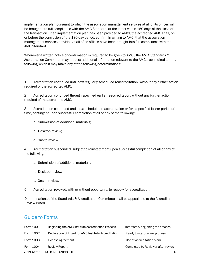implementation plan pursuant to which the association management services at all of its offices will be brought into full compliance with the AMC Standard, at the latest within 180 days of the close of the transaction. If an implementation plan has been provided to AMCI, the accredited AMC shall, on or before the conclusion of the 180 day period, confirm in writing to AMCI that the association management services provided at all of its offices have been brought into full compliance with the AMC Standard.

Whenever a written notice or confirmation is required to be given to AMCI, the AMCI Standards & Accreditation Committee may request additional information relevant to the AMC's accredited status, following which it may make any of the following determinations:

1. Accreditation continued until next regularly scheduled reaccreditation, without any further action required of the accredited AMC.

2. Accreditation continued through specified earlier reaccreditation, without any further action required of the accredited AMC.

3. Accreditation continued until next scheduled reaccreditation or for a specified lesser period of time, contingent upon successful completion of all or any of the following:

- a. Submission of additional materials;
- b. Desktop review;
- c. Onsite review.

4. Accreditation suspended, subject to reinstatement upon successful completion of all or any of the following:

- a. Submission of additional materials;
- b. Desktop review;
- c. Onsite review.
- 5. Accreditation revoked, with or without opportunity to reapply for accreditation.

Determinations of the Standards & Accreditation Committee shall be appealable to the Accreditation Review Board.

# Guide to Forms

| Form 1001 | Beginning the AMC Institute Accreditation Process     | Interested/beginning the process   |
|-----------|-------------------------------------------------------|------------------------------------|
| Form 1002 | Declaration of Intent for AMC Institute Accreditation | Ready to start review process      |
| Form 1003 | License Agreement                                     | Use of Accreditation Mark          |
| Form 1004 | <b>Review Report</b>                                  | Completed by Reviewer after review |
|           | <b>2019 ACCREDITATION HANDBOOK</b>                    | 16                                 |